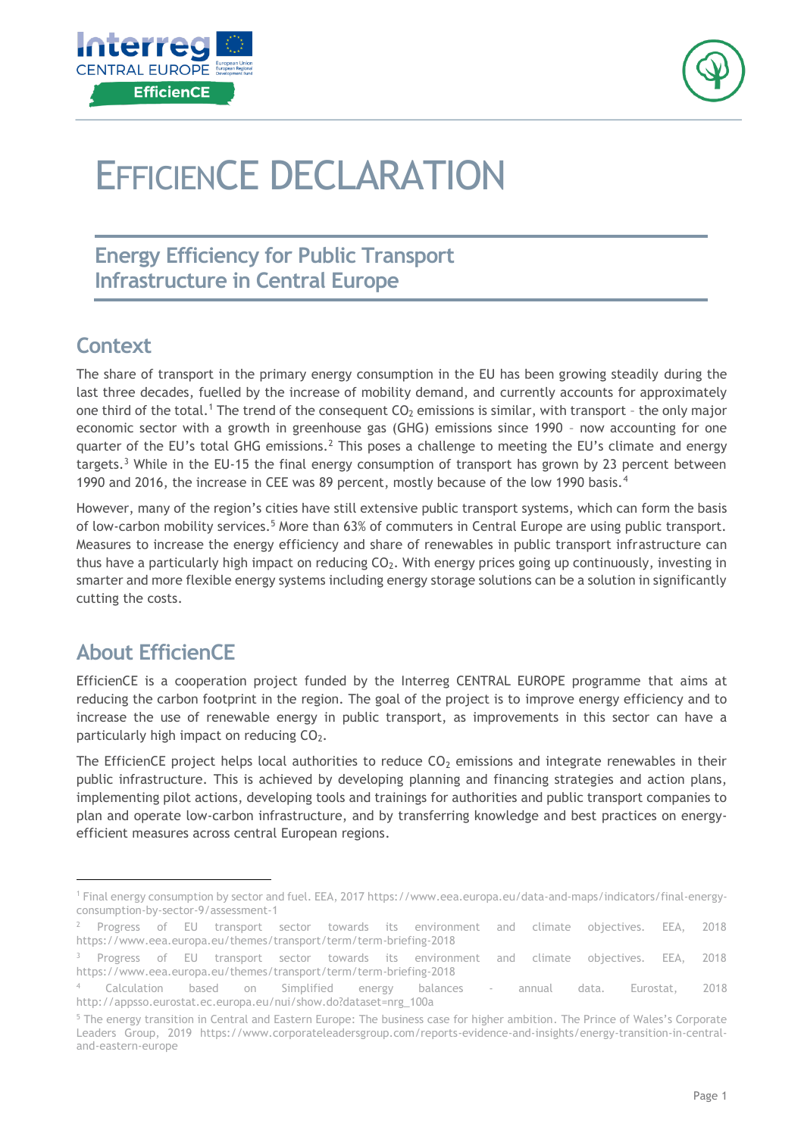



# EFFICIENCE DECLARATION

### **Energy Efficiency for Public Transport Infrastructure in Central Europe**

#### **Context**

The share of transport in the primary energy consumption in the EU has been growing steadily during the last three decades, fuelled by the increase of mobility demand, and currently accounts for approximately one third of the total.<sup>1</sup> The trend of the consequent  $CO<sub>2</sub>$  emissions is similar, with transport - the only major economic sector with a growth in greenhouse gas (GHG) emissions since 1990 – now accounting for one quarter of the EU's total GHG emissions.<sup>2</sup> This poses a challenge to meeting the EU's climate and energy targets.<sup>3</sup> While in the EU-15 the final energy consumption of transport has grown by 23 percent between 1990 and 2016, the increase in CEE was 89 percent, mostly because of the low 1990 basis.<sup>4</sup>

However, many of the region's cities have still extensive public transport systems, which can form the basis of low-carbon mobility services.<sup>5</sup> More than 63% of commuters in Central Europe are using public transport. Measures to increase the energy efficiency and share of renewables in public transport infrastructure can thus have a particularly high impact on reducing  $CO<sub>2</sub>$ . With energy prices going up continuously, investing in smarter and more flexible energy systems including energy storage solutions can be a solution in significantly cutting the costs.

## **About EfficienCE**

-

EfficienCE is a cooperation project funded by the Interreg CENTRAL EUROPE programme that aims at reducing the carbon footprint in the region. The goal of the project is to improve energy efficiency and to increase the use of renewable energy in public transport, as improvements in this sector can have a particularly high impact on reducing CO<sub>2</sub>.

The EfficienCE project helps local authorities to reduce  $CO<sub>2</sub>$  emissions and integrate renewables in their public infrastructure. This is achieved by developing planning and financing strategies and action plans, implementing pilot actions, developing tools and trainings for authorities and public transport companies to plan and operate low-carbon infrastructure, and by transferring knowledge and best practices on energyefficient measures across central European regions.

<sup>1</sup> Final energy consumption by sector and fuel. EEA, 2017 https://www.eea.europa.eu/data-and-maps/indicators/final-energyconsumption-by-sector-9/assessment-1

<sup>&</sup>lt;sup>2</sup> Progress of EU transport sector towards its environment and climate objectives. EEA, 2018 https://www.eea.europa.eu/themes/transport/term/term-briefing-2018

<sup>&</sup>lt;sup>3</sup> Progress of EU transport sector towards its environment and climate objectives. EEA, 2018 https://www.eea.europa.eu/themes/transport/term/term-briefing-2018

<sup>4</sup> Calculation based on Simplified energy balances - annual data. Eurostat, 2018 http://appsso.eurostat.ec.europa.eu/nui/show.do?dataset=nrg\_100a

<sup>5</sup> The energy transition in Central and Eastern Europe: The business case for higher ambition. The Prince of Wales's Corporate Leaders Group, 2019 https://www.corporateleadersgroup.com/reports-evidence-and-insights/energy-transition-in-centraland-eastern-europe